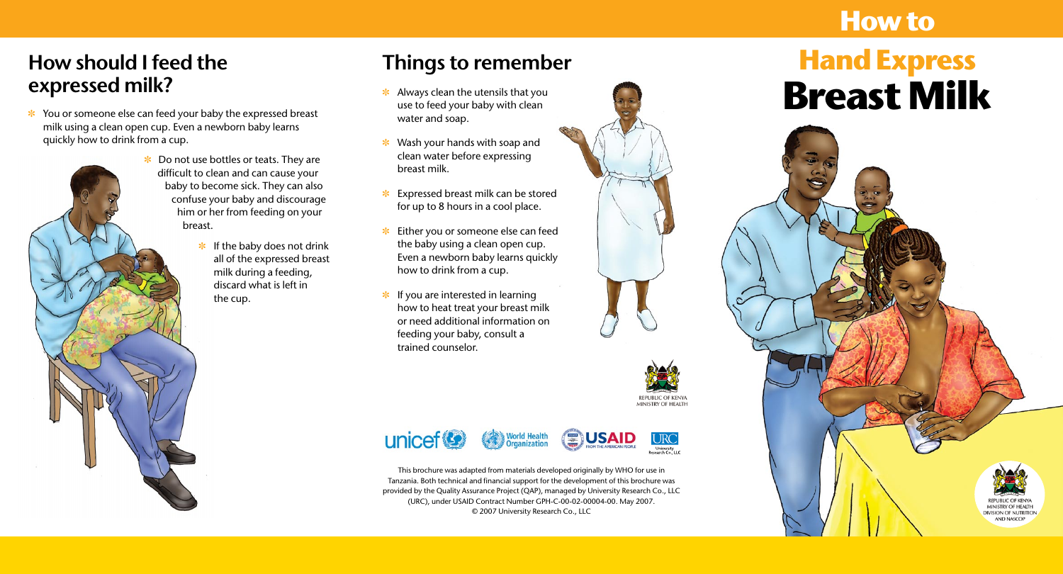- $*$  Always clean the utensils that you use to feed your baby with clean water and soap.
- $*$  Wash your hands with soap and clean water before expressing breast milk.
- $\ast$  Expressed breast milk can be stored for up to 8 hours in a cool place.
- $\cdot$  Either you or someone else can feed the baby using a clean open cup. Even a newborn baby learns quickly how to drink from a cup.
- $*$  If you are interested in learning how to heat treat your breast milk or need additional information on feeding your baby, consult a trained counselor.











# **Breast Milk How to Hand Express**



REPUBLIC O MINISTRY OF HEALTH **DIVISION OF NUTRITION** AND NASCOP

 $*$  You or someone else can feed your baby the expressed breast milk using a clean open cup. Even a newborn baby learns quickly how to drink from a cup.

- $\cdot$  Do not use bottles or teats. They are difficult to clean and can cause your baby to become sick. They can also confuse your baby and discourage him or her from feeding on your
	- $*$  If the baby does not drink all of the expressed breast milk during a feeding, discard what is left in the cup.



#### **How should I feed the expressed milk?**

## **Things to remember**

This brochure was adapted from materials developed originally by WHO for use in Tanzania. Both technical and financial support for the development of this brochure was provided by the Quality Assurance Project (QAP), managed by University Research Co., LLC (URC), under USAID Contract Number GPH-C-00-02-00004-00. May 2007. © 2007 University Research Co., LLC